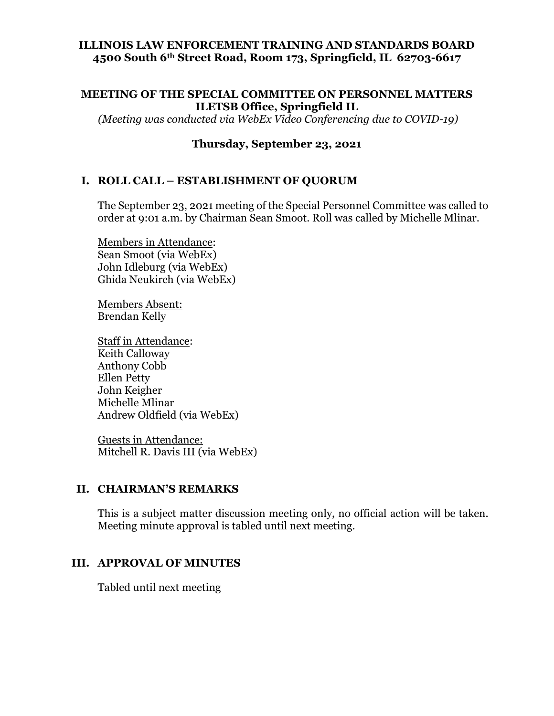### **ILLINOIS LAW ENFORCEMENT TRAINING AND STANDARDS BOARD 4500 South 6th Street Road, Room 173, Springfield, IL 62703-6617**

#### **MEETING OF THE SPECIAL COMMITTEE ON PERSONNEL MATTERS ILETSB Office, Springfield IL**

*(Meeting was conducted via WebEx Video Conferencing due to COVID-19)*

### **Thursday, September 23, 2021**

### **I. ROLL CALL – ESTABLISHMENT OF QUORUM**

The September 23, 2021 meeting of the Special Personnel Committee was called to order at 9:01 a.m. by Chairman Sean Smoot. Roll was called by Michelle Mlinar.

Members in Attendance: Sean Smoot (via WebEx) John Idleburg (via WebEx) Ghida Neukirch (via WebEx)

Members Absent: Brendan Kelly

Staff in Attendance: Keith Calloway Anthony Cobb Ellen Petty John Keigher Michelle Mlinar Andrew Oldfield (via WebEx)

Guests in Attendance: Mitchell R. Davis III (via WebEx)

#### **II. CHAIRMAN'S REMARKS**

This is a subject matter discussion meeting only, no official action will be taken. Meeting minute approval is tabled until next meeting.

#### **III. APPROVAL OF MINUTES**

Tabled until next meeting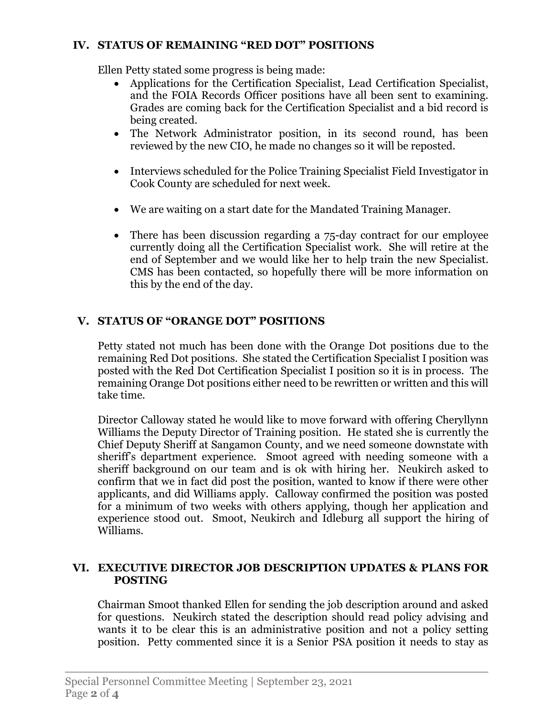# **IV. STATUS OF REMAINING "RED DOT" POSITIONS**

Ellen Petty stated some progress is being made:

- Applications for the Certification Specialist, Lead Certification Specialist, and the FOIA Records Officer positions have all been sent to examining. Grades are coming back for the Certification Specialist and a bid record is being created.
- The Network Administrator position, in its second round, has been reviewed by the new CIO, he made no changes so it will be reposted.
- Interviews scheduled for the Police Training Specialist Field Investigator in Cook County are scheduled for next week.
- We are waiting on a start date for the Mandated Training Manager.
- There has been discussion regarding a 75-day contract for our employee currently doing all the Certification Specialist work. She will retire at the end of September and we would like her to help train the new Specialist. CMS has been contacted, so hopefully there will be more information on this by the end of the day.

# **V. STATUS OF "ORANGE DOT" POSITIONS**

Petty stated not much has been done with the Orange Dot positions due to the remaining Red Dot positions. She stated the Certification Specialist I position was posted with the Red Dot Certification Specialist I position so it is in process. The remaining Orange Dot positions either need to be rewritten or written and this will take time.

Director Calloway stated he would like to move forward with offering Cheryllynn Williams the Deputy Director of Training position. He stated she is currently the Chief Deputy Sheriff at Sangamon County, and we need someone downstate with sheriff's department experience. Smoot agreed with needing someone with a sheriff background on our team and is ok with hiring her. Neukirch asked to confirm that we in fact did post the position, wanted to know if there were other applicants, and did Williams apply. Calloway confirmed the position was posted for a minimum of two weeks with others applying, though her application and experience stood out. Smoot, Neukirch and Idleburg all support the hiring of Williams.

# **VI. EXECUTIVE DIRECTOR JOB DESCRIPTION UPDATES & PLANS FOR POSTING**

Chairman Smoot thanked Ellen for sending the job description around and asked for questions. Neukirch stated the description should read policy advising and wants it to be clear this is an administrative position and not a policy setting position. Petty commented since it is a Senior PSA position it needs to stay as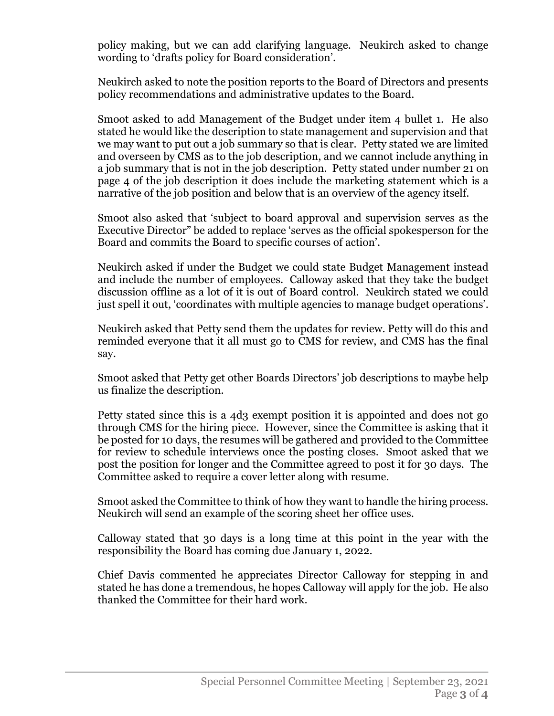policy making, but we can add clarifying language. Neukirch asked to change wording to 'drafts policy for Board consideration'.

Neukirch asked to note the position reports to the Board of Directors and presents policy recommendations and administrative updates to the Board.

Smoot asked to add Management of the Budget under item 4 bullet 1. He also stated he would like the description to state management and supervision and that we may want to put out a job summary so that is clear. Petty stated we are limited and overseen by CMS as to the job description, and we cannot include anything in a job summary that is not in the job description. Petty stated under number 21 on page 4 of the job description it does include the marketing statement which is a narrative of the job position and below that is an overview of the agency itself.

Smoot also asked that 'subject to board approval and supervision serves as the Executive Director" be added to replace 'serves as the official spokesperson for the Board and commits the Board to specific courses of action'.

Neukirch asked if under the Budget we could state Budget Management instead and include the number of employees. Calloway asked that they take the budget discussion offline as a lot of it is out of Board control. Neukirch stated we could just spell it out, 'coordinates with multiple agencies to manage budget operations'.

Neukirch asked that Petty send them the updates for review. Petty will do this and reminded everyone that it all must go to CMS for review, and CMS has the final say.

Smoot asked that Petty get other Boards Directors' job descriptions to maybe help us finalize the description.

Petty stated since this is a 4d3 exempt position it is appointed and does not go through CMS for the hiring piece. However, since the Committee is asking that it be posted for 10 days, the resumes will be gathered and provided to the Committee for review to schedule interviews once the posting closes. Smoot asked that we post the position for longer and the Committee agreed to post it for 30 days. The Committee asked to require a cover letter along with resume.

Smoot asked the Committee to think of how they want to handle the hiring process. Neukirch will send an example of the scoring sheet her office uses.

Calloway stated that 30 days is a long time at this point in the year with the responsibility the Board has coming due January 1, 2022.

Chief Davis commented he appreciates Director Calloway for stepping in and stated he has done a tremendous, he hopes Calloway will apply for the job. He also thanked the Committee for their hard work.